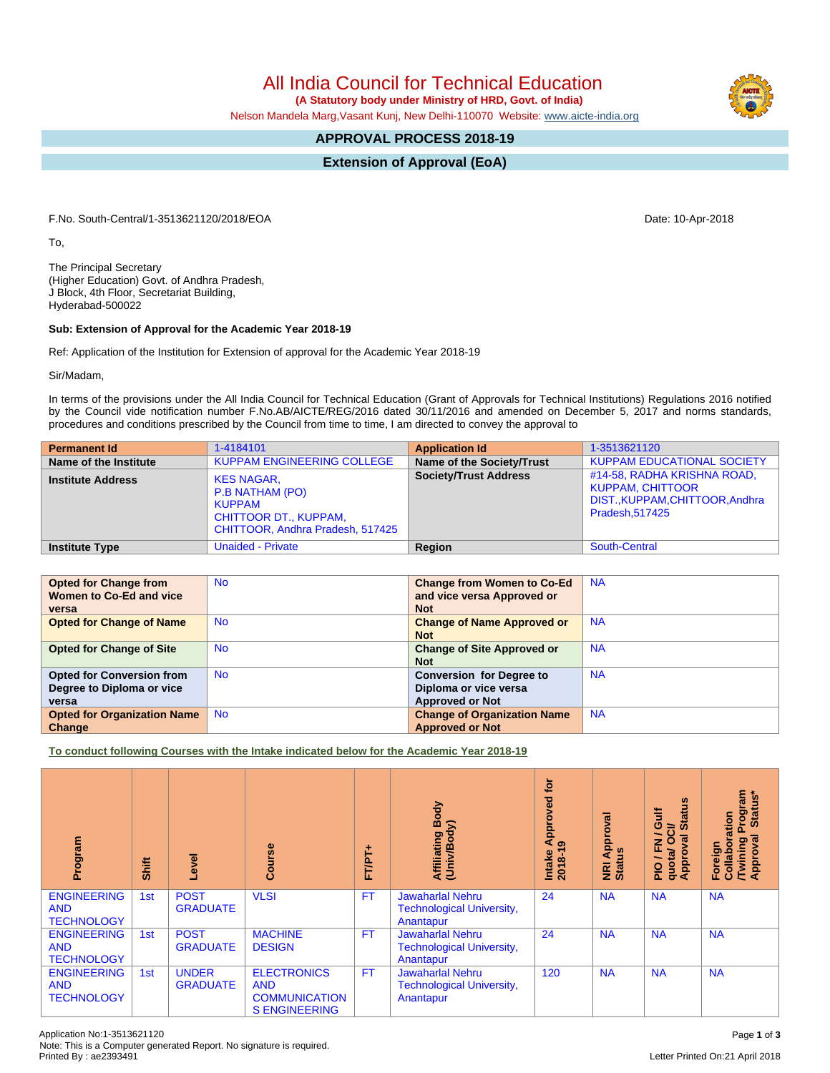All India Council for Technical Education

 **(A Statutory body under Ministry of HRD, Govt. of India)**

Nelson Mandela Marg,Vasant Kunj, New Delhi-110070 Website: [www.aicte-india.org](http://www.aicte-india.org)

## **APPROVAL PROCESS 2018-19**

**Extension of Approval (EoA)**

F.No. South-Central/1-3513621120/2018/EOA Date: 10-Apr-2018

To,

The Principal Secretary (Higher Education) Govt. of Andhra Pradesh, J Block, 4th Floor, Secretariat Building, Hyderabad-500022

## **Sub: Extension of Approval for the Academic Year 2018-19**

Ref: Application of the Institution for Extension of approval for the Academic Year 2018-19

Sir/Madam,

In terms of the provisions under the All India Council for Technical Education (Grant of Approvals for Technical Institutions) Regulations 2016 notified by the Council vide notification number F.No.AB/AICTE/REG/2016 dated 30/11/2016 and amended on December 5, 2017 and norms standards, procedures and conditions prescribed by the Council from time to time, I am directed to convey the approval to

| <b>Permanent Id</b>      | 1-4184101                                                                                                                 | <b>Application Id</b>        | 1-3513621120                                                                                                |
|--------------------------|---------------------------------------------------------------------------------------------------------------------------|------------------------------|-------------------------------------------------------------------------------------------------------------|
| Name of the Institute    | <b>KUPPAM ENGINEERING COLLEGE</b>                                                                                         | Name of the Society/Trust    | <b>KUPPAM EDUCATIONAL SOCIETY</b>                                                                           |
| <b>Institute Address</b> | <b>KES NAGAR,</b><br>P.B NATHAM (PO)<br><b>KUPPAM</b><br><b>CHITTOOR DT., KUPPAM,</b><br>CHITTOOR, Andhra Pradesh, 517425 | <b>Society/Trust Address</b> | #14-58, RADHA KRISHNA ROAD,<br><b>KUPPAM, CHITTOOR</b><br>DIST., KUPPAM, CHITTOOR, Andhra<br>Pradesh.517425 |
| <b>Institute Type</b>    | <b>Unaided - Private</b>                                                                                                  | Region                       | South-Central                                                                                               |

| <b>Opted for Change from</b>       | <b>No</b> | <b>Change from Women to Co-Ed</b>  | <b>NA</b> |
|------------------------------------|-----------|------------------------------------|-----------|
| Women to Co-Ed and vice            |           | and vice versa Approved or         |           |
| versa                              |           | <b>Not</b>                         |           |
| <b>Opted for Change of Name</b>    | <b>No</b> | <b>Change of Name Approved or</b>  | <b>NA</b> |
|                                    |           | <b>Not</b>                         |           |
| <b>Opted for Change of Site</b>    | <b>No</b> | <b>Change of Site Approved or</b>  | <b>NA</b> |
|                                    |           | <b>Not</b>                         |           |
| <b>Opted for Conversion from</b>   | <b>No</b> | <b>Conversion for Degree to</b>    | <b>NA</b> |
| Degree to Diploma or vice          |           | Diploma or vice versa              |           |
| versa                              |           | <b>Approved or Not</b>             |           |
| <b>Opted for Organization Name</b> | <b>No</b> | <b>Change of Organization Name</b> | <b>NA</b> |
| Change                             |           | <b>Approved or Not</b>             |           |

**To conduct following Courses with the Intake indicated below for the Academic Year 2018-19**

| Program                                               | Shift | Level                           | rse<br>ပ္ပြ                                                                      | ۰<br>FT/PT- | Affiliating Body<br>(Univ/Body)                                          | tor<br>yed<br>ppro<br>ৱ<br>െ<br>Intake<br>2018-1 | Approval<br><b>NRI Ap</b><br>Status | <b>Status</b><br><b>Jire</b><br>≃<br>ပ<br>∽<br>ड़<br>О<br>준<br>quota/<br>Approv<br>$\frac{1}{2}$ | <b>rogram</b><br>Status*<br>Collaboration<br>ड़<br><b>Twining</b><br>Approval<br>Foreign |
|-------------------------------------------------------|-------|---------------------------------|----------------------------------------------------------------------------------|-------------|--------------------------------------------------------------------------|--------------------------------------------------|-------------------------------------|--------------------------------------------------------------------------------------------------|------------------------------------------------------------------------------------------|
| <b>ENGINEERING</b><br><b>AND</b><br><b>TECHNOLOGY</b> | 1st   | <b>POST</b><br><b>GRADUATE</b>  | <b>VLSI</b>                                                                      | <b>FT</b>   | <b>Jawaharlal Nehru</b><br><b>Technological University,</b><br>Anantapur | 24                                               | <b>NA</b>                           | <b>NA</b>                                                                                        | <b>NA</b>                                                                                |
| <b>ENGINEERING</b><br><b>AND</b><br><b>TECHNOLOGY</b> | 1st   | <b>POST</b><br><b>GRADUATE</b>  | <b>MACHINE</b><br><b>DESIGN</b>                                                  | <b>FT</b>   | <b>Jawaharlal Nehru</b><br><b>Technological University,</b><br>Anantapur | 24                                               | <b>NA</b>                           | <b>NA</b>                                                                                        | <b>NA</b>                                                                                |
| <b>ENGINEERING</b><br><b>AND</b><br><b>TECHNOLOGY</b> | 1st   | <b>UNDER</b><br><b>GRADUATE</b> | <b>ELECTRONICS</b><br><b>AND</b><br><b>COMMUNICATION</b><br><b>S ENGINEERING</b> | <b>FT</b>   | <b>Jawaharlal Nehru</b><br><b>Technological University,</b><br>Anantapur | 120                                              | <b>NA</b>                           | <b>NA</b>                                                                                        | <b>NA</b>                                                                                |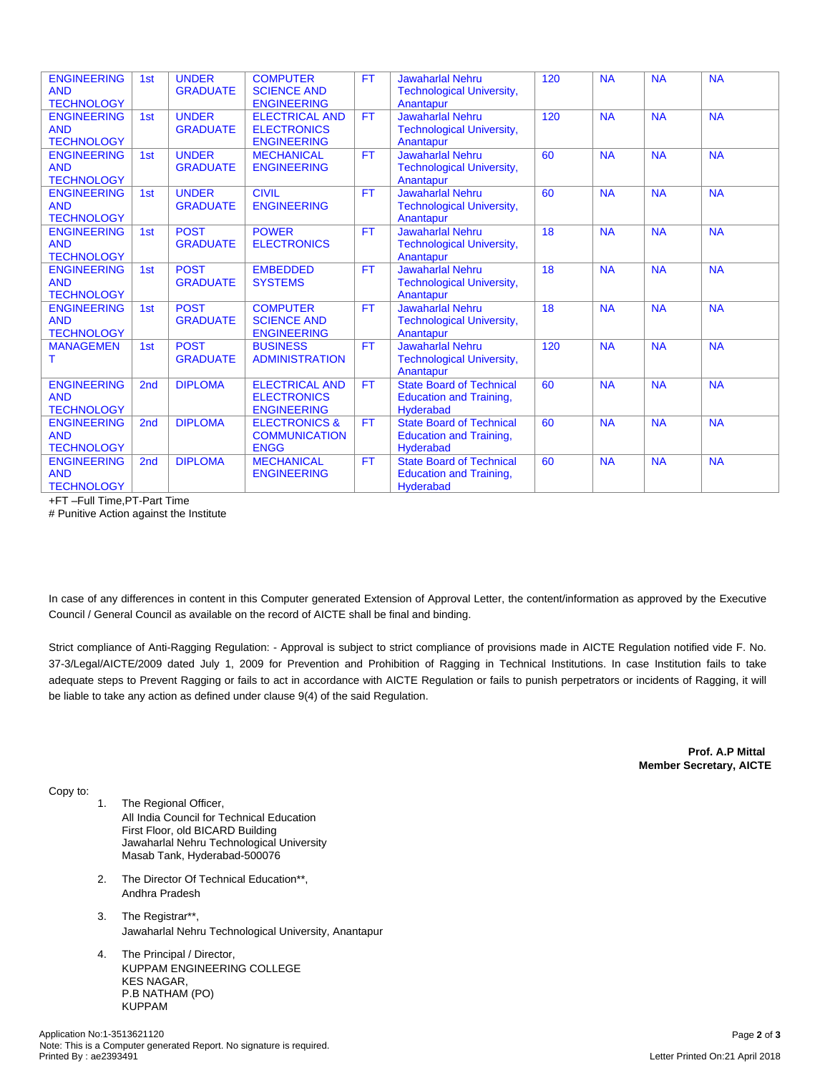| <b>ENGINEERING</b><br><b>AND</b><br><b>TECHNOLOGY</b> | 1st             | <b>UNDER</b><br><b>GRADUATE</b> | <b>COMPUTER</b><br><b>SCIENCE AND</b><br><b>ENGINEERING</b>       | <b>FT</b> | <b>Jawaharlal Nehru</b><br><b>Technological University,</b><br>Anantapur       | 120 | <b>NA</b> | <b>NA</b> | <b>NA</b> |
|-------------------------------------------------------|-----------------|---------------------------------|-------------------------------------------------------------------|-----------|--------------------------------------------------------------------------------|-----|-----------|-----------|-----------|
| <b>ENGINEERING</b><br><b>AND</b><br><b>TECHNOLOGY</b> | 1st             | <b>UNDER</b><br><b>GRADUATE</b> | <b>ELECTRICAL AND</b><br><b>ELECTRONICS</b><br><b>ENGINEERING</b> | <b>FT</b> | <b>Jawaharlal Nehru</b><br><b>Technological University,</b><br>Anantapur       | 120 | <b>NA</b> | <b>NA</b> | <b>NA</b> |
| <b>ENGINEERING</b><br><b>AND</b><br><b>TECHNOLOGY</b> | 1st             | <b>UNDER</b><br><b>GRADUATE</b> | <b>MECHANICAL</b><br><b>ENGINEERING</b>                           | <b>FT</b> | <b>Jawaharlal Nehru</b><br><b>Technological University,</b><br>Anantapur       | 60  | <b>NA</b> | <b>NA</b> | <b>NA</b> |
| <b>ENGINEERING</b><br><b>AND</b><br><b>TECHNOLOGY</b> | 1st             | <b>UNDER</b><br><b>GRADUATE</b> | <b>CIVIL</b><br><b>ENGINEERING</b>                                | <b>FT</b> | <b>Jawaharlal Nehru</b><br><b>Technological University,</b><br>Anantapur       | 60  | <b>NA</b> | <b>NA</b> | <b>NA</b> |
| <b>ENGINEERING</b><br><b>AND</b><br><b>TECHNOLOGY</b> | 1st             | <b>POST</b><br><b>GRADUATE</b>  | <b>POWER</b><br><b>ELECTRONICS</b>                                | FT.       | <b>Jawaharlal Nehru</b><br><b>Technological University,</b><br>Anantapur       | 18  | <b>NA</b> | <b>NA</b> | <b>NA</b> |
| <b>ENGINEERING</b><br><b>AND</b><br><b>TECHNOLOGY</b> | 1st             | <b>POST</b><br><b>GRADUATE</b>  | <b>EMBEDDED</b><br><b>SYSTEMS</b>                                 | <b>FT</b> | <b>Jawaharlal Nehru</b><br><b>Technological University,</b><br>Anantapur       | 18  | <b>NA</b> | <b>NA</b> | <b>NA</b> |
| <b>ENGINEERING</b><br><b>AND</b><br><b>TECHNOLOGY</b> | 1st             | <b>POST</b><br><b>GRADUATE</b>  | <b>COMPUTER</b><br><b>SCIENCE AND</b><br><b>ENGINEERING</b>       | <b>FT</b> | <b>Jawaharlal Nehru</b><br><b>Technological University,</b><br>Anantapur       | 18  | <b>NA</b> | <b>NA</b> | <b>NA</b> |
| <b>MANAGEMEN</b><br>т                                 | 1st             | <b>POST</b><br><b>GRADUATE</b>  | <b>BUSINESS</b><br><b>ADMINISTRATION</b>                          | <b>FT</b> | Jawaharlal Nehru<br><b>Technological University,</b><br>Anantapur              | 120 | <b>NA</b> | <b>NA</b> | <b>NA</b> |
| <b>ENGINEERING</b><br><b>AND</b><br><b>TECHNOLOGY</b> | 2 <sub>nd</sub> | <b>DIPLOMA</b>                  | <b>ELECTRICAL AND</b><br><b>ELECTRONICS</b><br><b>ENGINEERING</b> | <b>FT</b> | <b>State Board of Technical</b><br><b>Education and Training,</b><br>Hyderabad | 60  | <b>NA</b> | <b>NA</b> | <b>NA</b> |
| <b>ENGINEERING</b><br><b>AND</b><br><b>TECHNOLOGY</b> | 2 <sub>nd</sub> | <b>DIPLOMA</b>                  | <b>ELECTRONICS &amp;</b><br><b>COMMUNICATION</b><br><b>ENGG</b>   | FT.       | <b>State Board of Technical</b><br><b>Education and Training,</b><br>Hyderabad | 60  | <b>NA</b> | <b>NA</b> | <b>NA</b> |
| <b>ENGINEERING</b><br><b>AND</b><br><b>TECHNOLOGY</b> | 2 <sub>nd</sub> | <b>DIPLOMA</b>                  | <b>MECHANICAL</b><br><b>ENGINEERING</b>                           | <b>FT</b> | <b>State Board of Technical</b><br><b>Education and Training,</b><br>Hyderabad | 60  | <b>NA</b> | <b>NA</b> | <b>NA</b> |

+FT –Full Time,PT-Part Time

# Punitive Action against the Institute

In case of any differences in content in this Computer generated Extension of Approval Letter, the content/information as approved by the Executive Council / General Council as available on the record of AICTE shall be final and binding.

Strict compliance of Anti-Ragging Regulation: - Approval is subject to strict compliance of provisions made in AICTE Regulation notified vide F. No. 37-3/Legal/AICTE/2009 dated July 1, 2009 for Prevention and Prohibition of Ragging in Technical Institutions. In case Institution fails to take adequate steps to Prevent Ragging or fails to act in accordance with AICTE Regulation or fails to punish perpetrators or incidents of Ragging, it will be liable to take any action as defined under clause 9(4) of the said Regulation.

> **Prof. A.P Mittal Member Secretary, AICTE**

Copy to:

- 1. The Regional Officer, All India Council for Technical Education First Floor, old BICARD Building Jawaharlal Nehru Technological University Masab Tank, Hyderabad-500076
- 2. The Director Of Technical Education\*\*, Andhra Pradesh
- 3. The Registrar\*\*, Jawaharlal Nehru Technological University, Anantapur
- 4. The Principal / Director, KUPPAM ENGINEERING COLLEGE KES NAGAR, P.B NATHAM (PO) KUPPAM